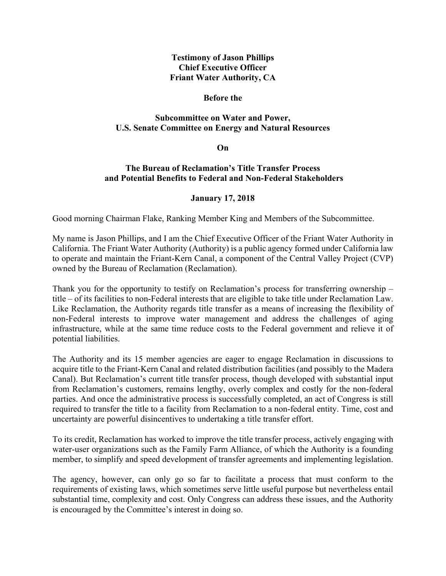## **Testimony of Jason Phillips Chief Executive Officer Friant Water Authority, CA**

#### **Before the**

# **Subcommittee on Water and Power, U.S. Senate Committee on Energy and Natural Resources**

**On** 

## **The Bureau of Reclamation's Title Transfer Process and Potential Benefits to Federal and Non-Federal Stakeholders**

#### **January 17, 2018**

Good morning Chairman Flake, Ranking Member King and Members of the Subcommittee.

My name is Jason Phillips, and I am the Chief Executive Officer of the Friant Water Authority in California. The Friant Water Authority (Authority) is a public agency formed under California law to operate and maintain the Friant-Kern Canal, a component of the Central Valley Project (CVP) owned by the Bureau of Reclamation (Reclamation).

Thank you for the opportunity to testify on Reclamation's process for transferring ownership – title – of its facilities to non-Federal interests that are eligible to take title under Reclamation Law. Like Reclamation, the Authority regards title transfer as a means of increasing the flexibility of non-Federal interests to improve water management and address the challenges of aging infrastructure, while at the same time reduce costs to the Federal government and relieve it of potential liabilities.

The Authority and its 15 member agencies are eager to engage Reclamation in discussions to acquire title to the Friant-Kern Canal and related distribution facilities (and possibly to the Madera Canal). But Reclamation's current title transfer process, though developed with substantial input from Reclamation's customers, remains lengthy, overly complex and costly for the non-federal parties. And once the administrative process is successfully completed, an act of Congress is still required to transfer the title to a facility from Reclamation to a non-federal entity. Time, cost and uncertainty are powerful disincentives to undertaking a title transfer effort.

To its credit, Reclamation has worked to improve the title transfer process, actively engaging with water-user organizations such as the Family Farm Alliance, of which the Authority is a founding member, to simplify and speed development of transfer agreements and implementing legislation.

The agency, however, can only go so far to facilitate a process that must conform to the requirements of existing laws, which sometimes serve little useful purpose but nevertheless entail substantial time, complexity and cost. Only Congress can address these issues, and the Authority is encouraged by the Committee's interest in doing so.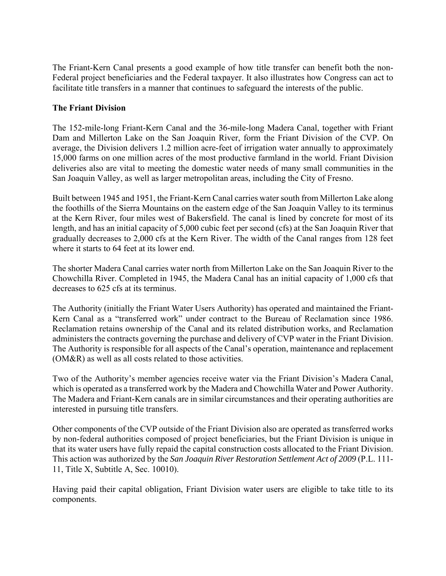The Friant-Kern Canal presents a good example of how title transfer can benefit both the non-Federal project beneficiaries and the Federal taxpayer. It also illustrates how Congress can act to facilitate title transfers in a manner that continues to safeguard the interests of the public.

## **The Friant Division**

The 152-mile-long Friant-Kern Canal and the 36-mile-long Madera Canal, together with Friant Dam and Millerton Lake on the San Joaquin River, form the Friant Division of the CVP. On average, the Division delivers 1.2 million acre-feet of irrigation water annually to approximately 15,000 farms on one million acres of the most productive farmland in the world. Friant Division deliveries also are vital to meeting the domestic water needs of many small communities in the San Joaquin Valley, as well as larger metropolitan areas, including the City of Fresno.

Built between 1945 and 1951, the Friant-Kern Canal carries water south from Millerton Lake along the foothills of the Sierra Mountains on the eastern edge of the San Joaquin Valley to its terminus at the Kern River, four miles west of Bakersfield. The canal is lined by concrete for most of its length, and has an initial capacity of 5,000 cubic feet per second (cfs) at the San Joaquin River that gradually decreases to 2,000 cfs at the Kern River. The width of the Canal ranges from 128 feet where it starts to 64 feet at its lower end.

The shorter Madera Canal carries water north from Millerton Lake on the San Joaquin River to the Chowchilla River. Completed in 1945, the Madera Canal has an initial capacity of 1,000 cfs that decreases to 625 cfs at its terminus.

The Authority (initially the Friant Water Users Authority) has operated and maintained the Friant-Kern Canal as a "transferred work" under contract to the Bureau of Reclamation since 1986. Reclamation retains ownership of the Canal and its related distribution works, and Reclamation administers the contracts governing the purchase and delivery of CVP water in the Friant Division. The Authority is responsible for all aspects of the Canal's operation, maintenance and replacement (OM&R) as well as all costs related to those activities.

Two of the Authority's member agencies receive water via the Friant Division's Madera Canal, which is operated as a transferred work by the Madera and Chowchilla Water and Power Authority. The Madera and Friant-Kern canals are in similar circumstances and their operating authorities are interested in pursuing title transfers.

Other components of the CVP outside of the Friant Division also are operated as transferred works by non-federal authorities composed of project beneficiaries, but the Friant Division is unique in that its water users have fully repaid the capital construction costs allocated to the Friant Division. This action was authorized by the *San Joaquin River Restoration Settlement Act of 2009* (P.L. 111- 11, Title X, Subtitle A, Sec. 10010).

Having paid their capital obligation, Friant Division water users are eligible to take title to its components.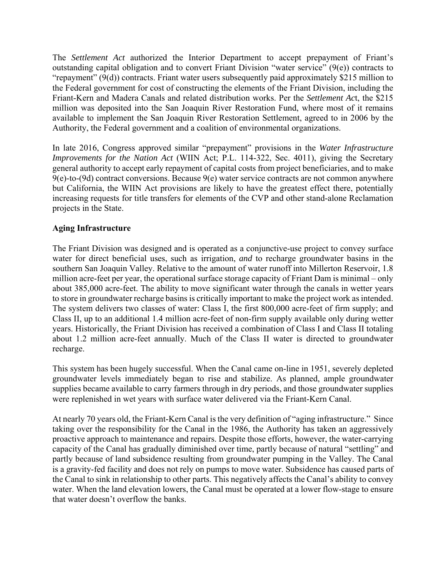The *Settlement Act* authorized the Interior Department to accept prepayment of Friant's outstanding capital obligation and to convert Friant Division "water service" (9(e)) contracts to "repayment" (9(d)) contracts. Friant water users subsequently paid approximately \$215 million to the Federal government for cost of constructing the elements of the Friant Division, including the Friant-Kern and Madera Canals and related distribution works. Per the *Settlement Ac*t, the \$215 million was deposited into the San Joaquin River Restoration Fund, where most of it remains available to implement the San Joaquin River Restoration Settlement, agreed to in 2006 by the Authority, the Federal government and a coalition of environmental organizations.

In late 2016, Congress approved similar "prepayment" provisions in the *Water Infrastructure Improvements for the Nation Act* (WIIN Act; P.L. 114-322, Sec. 4011), giving the Secretary general authority to accept early repayment of capital costs from project beneficiaries, and to make  $9(e)$ -to-(9d) contract conversions. Because  $9(e)$  water service contracts are not common anywhere but California, the WIIN Act provisions are likely to have the greatest effect there, potentially increasing requests for title transfers for elements of the CVP and other stand-alone Reclamation projects in the State.

# **Aging Infrastructure**

The Friant Division was designed and is operated as a conjunctive-use project to convey surface water for direct beneficial uses, such as irrigation, *and* to recharge groundwater basins in the southern San Joaquin Valley. Relative to the amount of water runoff into Millerton Reservoir, 1.8 million acre-feet per year, the operational surface storage capacity of Friant Dam is minimal – only about 385,000 acre-feet. The ability to move significant water through the canals in wetter years to store in groundwater recharge basins is critically important to make the project work as intended. The system delivers two classes of water: Class I, the first 800,000 acre-feet of firm supply; and Class II, up to an additional 1.4 million acre-feet of non-firm supply available only during wetter years. Historically, the Friant Division has received a combination of Class I and Class II totaling about 1.2 million acre-feet annually. Much of the Class II water is directed to groundwater recharge.

This system has been hugely successful. When the Canal came on-line in 1951, severely depleted groundwater levels immediately began to rise and stabilize. As planned, ample groundwater supplies became available to carry farmers through in dry periods, and those groundwater supplies were replenished in wet years with surface water delivered via the Friant-Kern Canal.

At nearly 70 years old, the Friant-Kern Canal is the very definition of "aging infrastructure." Since taking over the responsibility for the Canal in the 1986, the Authority has taken an aggressively proactive approach to maintenance and repairs. Despite those efforts, however, the water-carrying capacity of the Canal has gradually diminished over time, partly because of natural "settling" and partly because of land subsidence resulting from groundwater pumping in the Valley. The Canal is a gravity-fed facility and does not rely on pumps to move water. Subsidence has caused parts of the Canal to sink in relationship to other parts. This negatively affects the Canal's ability to convey water. When the land elevation lowers, the Canal must be operated at a lower flow-stage to ensure that water doesn't overflow the banks.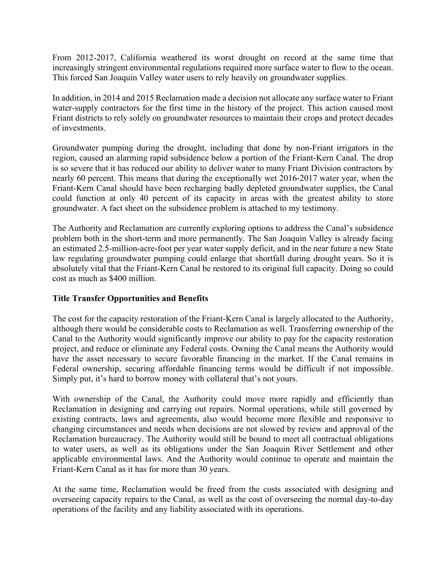From 2012-2017, California weathered its worst drought on record at the same time that increasingly stringent environmental regulations required more surface water to flow to the ocean. This forced San Joaquin Valley water users to rely heavily on groundwater supplies.

In addition, in 2014 and 2015 Reclamation made a decision not allocate any surface water to Friant water-supply contractors for the first time in the history of the project. This action caused most Friant districts to rely solely on groundwater resources to maintain their crops and protect decades of investments.

Groundwater pumping during the drought, including that done by non-Friant irrigators in the region, caused an alarming rapid subsidence below a portion of the Friant-Kern Canal. The drop is so severe that it has reduced our ability to deliver water to many Friant Division contractors by nearly 60 percent. This means that during the exceptionally wet 2016-2017 water year, when the Friant-Kern Canal should have been recharging badly depleted groundwater supplies, the Canal could function at only 40 percent of its capacity in areas with the greatest ability to store groundwater. A fact sheet on the subsidence problem is attached to my testimony.

The Authority and Reclamation are currently exploring options to address the Canal's subsidence problem both in the short-term and more permanently. The San Joaquin Valley is already facing an estimated 2.5-million-acre-foot per year water supply deficit, and in the near future a new State law regulating groundwater pumping could enlarge that shortfall during drought years. So it is absolutely vital that the Friant-Kern Canal be restored to its original full capacity. Doing so could cost as much as \$400 million.

# **Title Transfer Opportunities and Benefits**

The cost for the capacity restoration of the Friant-Kern Canal is largely allocated to the Authority, although there would be considerable costs to Reclamation as well. Transferring ownership of the Canal to the Authority would significantly improve our ability to pay for the capacity restoration project, and reduce or eliminate any Federal costs. Owning the Canal means the Authority would have the asset necessary to secure favorable financing in the market. If the Canal remains in Federal ownership, securing affordable financing terms would be difficult if not impossible. Simply put, it's hard to borrow money with collateral that's not yours.

With ownership of the Canal, the Authority could move more rapidly and efficiently than Reclamation in designing and carrying out repairs. Normal operations, while still governed by existing contracts, laws and agreements, also would become more flexible and responsive to changing circumstances and needs when decisions are not slowed by review and approval of the Reclamation bureaucracy. The Authority would still be bound to meet all contractual obligations to water users, as well as its obligations under the San Joaquin River Settlement and other applicable environmental laws. And the Authority would continue to operate and maintain the Friant-Kern Canal as it has for more than 30 years.

At the same time, Reclamation would be freed from the costs associated with designing and overseeing capacity repairs to the Canal, as well as the cost of overseeing the normal day-to-day operations of the facility and any liability associated with its operations.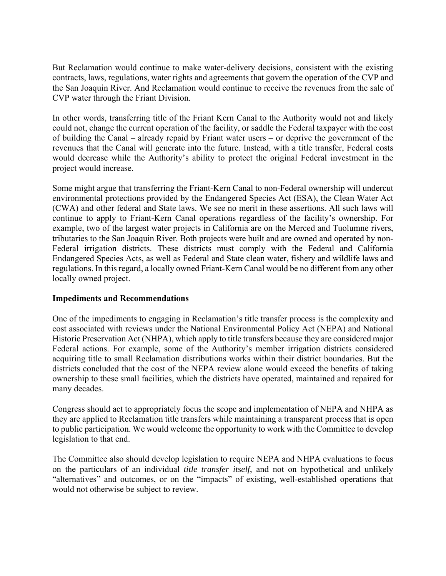But Reclamation would continue to make water-delivery decisions, consistent with the existing contracts, laws, regulations, water rights and agreements that govern the operation of the CVP and the San Joaquin River. And Reclamation would continue to receive the revenues from the sale of CVP water through the Friant Division.

In other words, transferring title of the Friant Kern Canal to the Authority would not and likely could not, change the current operation of the facility, or saddle the Federal taxpayer with the cost of building the Canal – already repaid by Friant water users – or deprive the government of the revenues that the Canal will generate into the future. Instead, with a title transfer, Federal costs would decrease while the Authority's ability to protect the original Federal investment in the project would increase.

Some might argue that transferring the Friant-Kern Canal to non-Federal ownership will undercut environmental protections provided by the Endangered Species Act (ESA), the Clean Water Act (CWA) and other federal and State laws. We see no merit in these assertions. All such laws will continue to apply to Friant-Kern Canal operations regardless of the facility's ownership. For example, two of the largest water projects in California are on the Merced and Tuolumne rivers, tributaries to the San Joaquin River. Both projects were built and are owned and operated by non-Federal irrigation districts. These districts must comply with the Federal and California Endangered Species Acts, as well as Federal and State clean water, fishery and wildlife laws and regulations. In this regard, a locally owned Friant-Kern Canal would be no different from any other locally owned project.

#### **Impediments and Recommendations**

One of the impediments to engaging in Reclamation's title transfer process is the complexity and cost associated with reviews under the National Environmental Policy Act (NEPA) and National Historic Preservation Act (NHPA), which apply to title transfers because they are considered major Federal actions. For example, some of the Authority's member irrigation districts considered acquiring title to small Reclamation distributions works within their district boundaries. But the districts concluded that the cost of the NEPA review alone would exceed the benefits of taking ownership to these small facilities, which the districts have operated, maintained and repaired for many decades.

Congress should act to appropriately focus the scope and implementation of NEPA and NHPA as they are applied to Reclamation title transfers while maintaining a transparent process that is open to public participation. We would welcome the opportunity to work with the Committee to develop legislation to that end.

The Committee also should develop legislation to require NEPA and NHPA evaluations to focus on the particulars of an individual *title transfer itself*, and not on hypothetical and unlikely "alternatives" and outcomes, or on the "impacts" of existing, well-established operations that would not otherwise be subject to review.